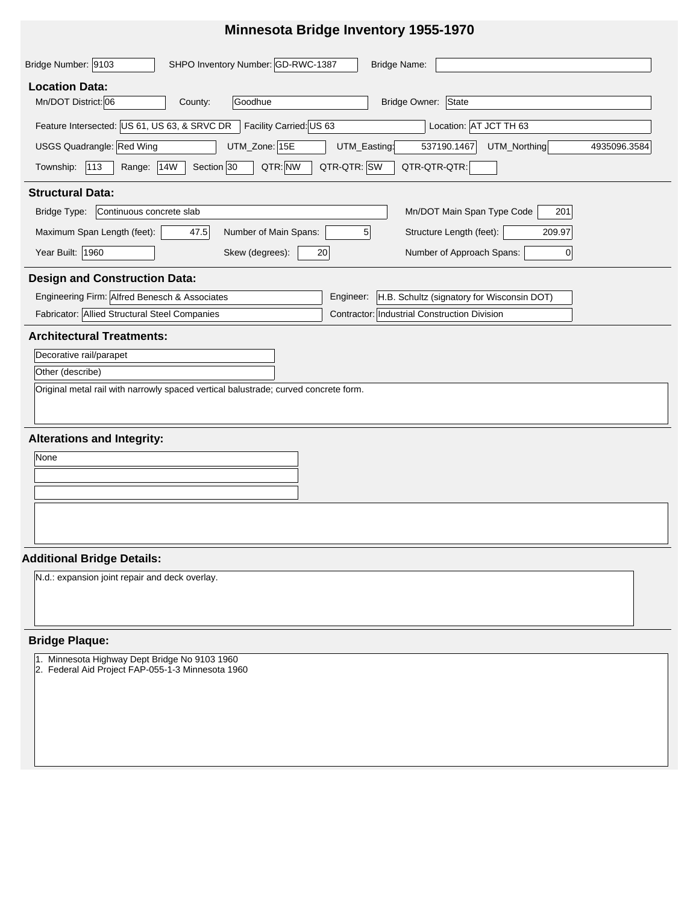# **Minnesota Bridge Inventory 1955-1970**

| Bridge Number: 9103<br>SHPO Inventory Number: GD-RWC-1387<br><b>Bridge Name:</b>                                     |  |  |  |  |  |  |  |  |
|----------------------------------------------------------------------------------------------------------------------|--|--|--|--|--|--|--|--|
| <b>Location Data:</b><br>Mn/DOT District: 06<br>Bridge Owner: State<br>Goodhue<br>County:                            |  |  |  |  |  |  |  |  |
|                                                                                                                      |  |  |  |  |  |  |  |  |
| Facility Carried: US 63<br>Feature Intersected: US 61, US 63, & SRVC DR<br>Location: AT JCT TH 63                    |  |  |  |  |  |  |  |  |
| USGS Quadrangle: Red Wing<br>UTM_Zone: 15E<br>UTM_Easting:<br>537190.1467<br>UTM_Northing<br>4935096.3584            |  |  |  |  |  |  |  |  |
| QTR-QTR: SW<br>QTR: NW<br>113<br>Section 30<br>QTR-QTR-QTR:<br>Township:<br><b>14W</b><br>Range:                     |  |  |  |  |  |  |  |  |
| <b>Structural Data:</b>                                                                                              |  |  |  |  |  |  |  |  |
| Bridge Type:<br>Continuous concrete slab<br>Mn/DOT Main Span Type Code<br>201                                        |  |  |  |  |  |  |  |  |
| Maximum Span Length (feet):<br>5 <sub>1</sub><br>Structure Length (feet):<br>47.5<br>Number of Main Spans:<br>209.97 |  |  |  |  |  |  |  |  |
| Year Built: 1960<br>Number of Approach Spans:<br>Skew (degrees):<br>20<br>0                                          |  |  |  |  |  |  |  |  |
| <b>Design and Construction Data:</b>                                                                                 |  |  |  |  |  |  |  |  |
| Engineering Firm: Alfred Benesch & Associates<br>H.B. Schultz (signatory for Wisconsin DOT)<br>Engineer:             |  |  |  |  |  |  |  |  |
| Fabricator: Allied Structural Steel Companies<br>Contractor: Industrial Construction Division                        |  |  |  |  |  |  |  |  |
| <b>Architectural Treatments:</b>                                                                                     |  |  |  |  |  |  |  |  |
| Decorative rail/parapet                                                                                              |  |  |  |  |  |  |  |  |
| Other (describe)                                                                                                     |  |  |  |  |  |  |  |  |
| Original metal rail with narrowly spaced vertical balustrade; curved concrete form.                                  |  |  |  |  |  |  |  |  |
| <b>Alterations and Integrity:</b>                                                                                    |  |  |  |  |  |  |  |  |
| None                                                                                                                 |  |  |  |  |  |  |  |  |
|                                                                                                                      |  |  |  |  |  |  |  |  |
|                                                                                                                      |  |  |  |  |  |  |  |  |
|                                                                                                                      |  |  |  |  |  |  |  |  |
| <b>Additional Bridge Details:</b>                                                                                    |  |  |  |  |  |  |  |  |
| N.d.: expansion joint repair and deck overlay.                                                                       |  |  |  |  |  |  |  |  |
| <b>Bridge Plaque:</b>                                                                                                |  |  |  |  |  |  |  |  |
| 1. Minnesota Highway Dept Bridge No 9103 1960<br>2. Federal Aid Project FAP-055-1-3 Minnesota 1960                   |  |  |  |  |  |  |  |  |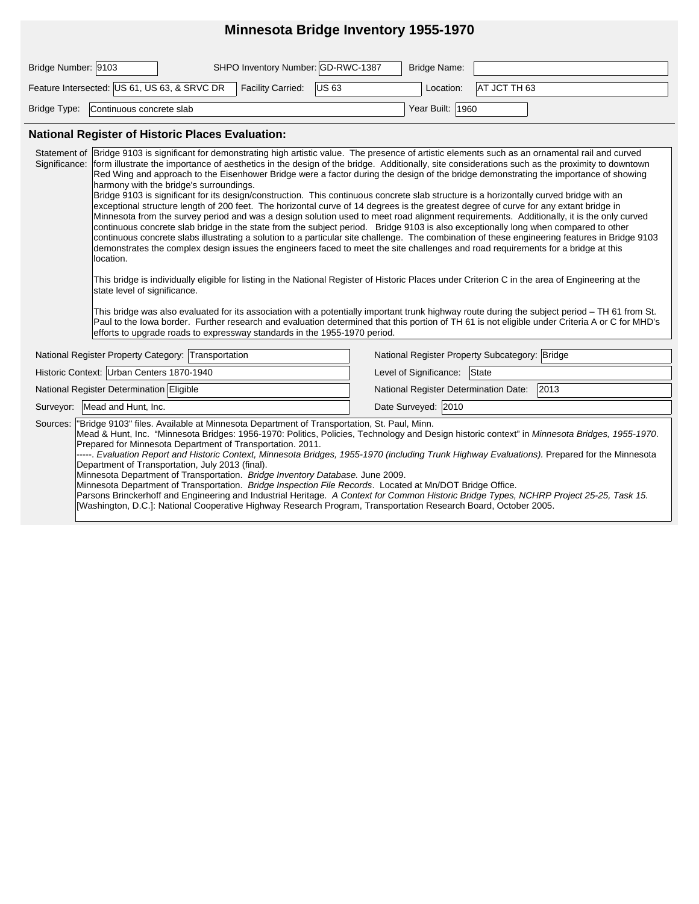## **Minnesota Bridge Inventory 1955-1970**

| Bridge Number: 9103 |                                              | SHPO Inventory Number: GD-RWC-1387 | Bridge Name:     |                          |
|---------------------|----------------------------------------------|------------------------------------|------------------|--------------------------|
|                     | Feature Intersected: US 61, US 63, & SRVC DR | Facility Carried: US 63            |                  | Location:   AT JCT TH 63 |
|                     | Bridge Type: Continuous concrete slab        |                                    | Year Built: 1960 |                          |

#### **National Register of Historic Places Evaluation:**

| Bridge 9103 is significant for demonstrating high artistic value. The presence of artistic elements such as an ornamental rail and curved<br>Statement of<br>Significance:<br>form illustrate the importance of aesthetics in the design of the bridge. Additionally, site considerations such as the proximity to downtown<br>Red Wing and approach to the Eisenhower Bridge were a factor during the design of the bridge demonstrating the importance of showing<br>harmony with the bridge's surroundings.<br>Bridge 9103 is significant for its design/construction. This continuous concrete slab structure is a horizontally curved bridge with an<br>exceptional structure length of 200 feet. The horizontal curve of 14 degrees is the greatest degree of curve for any extant bridge in<br>Minnesota from the survey period and was a design solution used to meet road alignment requirements. Additionally, it is the only curved<br>continuous concrete slab bridge in the state from the subject period. Bridge 9103 is also exceptionally long when compared to other<br>continuous concrete slabs illustrating a solution to a particular site challenge. The combination of these engineering features in Bridge 9103<br>demonstrates the complex design issues the engineers faced to meet the site challenges and road requirements for a bridge at this<br>location.<br>This bridge is individually eligible for listing in the National Register of Historic Places under Criterion C in the area of Engineering at the<br>state level of significance.<br>This bridge was also evaluated for its association with a potentially important trunk highway route during the subject period - TH 61 from St.<br>Paul to the lowa border. Further research and evaluation determined that this portion of TH 61 is not eligible under Criteria A or C for MHD's<br>efforts to upgrade roads to expressway standards in the 1955-1970 period. |                                                |  |  |  |  |  |  |  |
|----------------------------------------------------------------------------------------------------------------------------------------------------------------------------------------------------------------------------------------------------------------------------------------------------------------------------------------------------------------------------------------------------------------------------------------------------------------------------------------------------------------------------------------------------------------------------------------------------------------------------------------------------------------------------------------------------------------------------------------------------------------------------------------------------------------------------------------------------------------------------------------------------------------------------------------------------------------------------------------------------------------------------------------------------------------------------------------------------------------------------------------------------------------------------------------------------------------------------------------------------------------------------------------------------------------------------------------------------------------------------------------------------------------------------------------------------------------------------------------------------------------------------------------------------------------------------------------------------------------------------------------------------------------------------------------------------------------------------------------------------------------------------------------------------------------------------------------------------------------------------------------------------------------------------------------------------------------|------------------------------------------------|--|--|--|--|--|--|--|
| National Register Property Category: Transportation                                                                                                                                                                                                                                                                                                                                                                                                                                                                                                                                                                                                                                                                                                                                                                                                                                                                                                                                                                                                                                                                                                                                                                                                                                                                                                                                                                                                                                                                                                                                                                                                                                                                                                                                                                                                                                                                                                            | National Register Property Subcategory: Bridge |  |  |  |  |  |  |  |
| Historic Context: Urban Centers 1870-1940                                                                                                                                                                                                                                                                                                                                                                                                                                                                                                                                                                                                                                                                                                                                                                                                                                                                                                                                                                                                                                                                                                                                                                                                                                                                                                                                                                                                                                                                                                                                                                                                                                                                                                                                                                                                                                                                                                                      | Level of Significance: State                   |  |  |  |  |  |  |  |
| National Register Determination Eligible                                                                                                                                                                                                                                                                                                                                                                                                                                                                                                                                                                                                                                                                                                                                                                                                                                                                                                                                                                                                                                                                                                                                                                                                                                                                                                                                                                                                                                                                                                                                                                                                                                                                                                                                                                                                                                                                                                                       | National Register Determination Date:<br>2013  |  |  |  |  |  |  |  |
| Surveyor: Mead and Hunt, Inc.                                                                                                                                                                                                                                                                                                                                                                                                                                                                                                                                                                                                                                                                                                                                                                                                                                                                                                                                                                                                                                                                                                                                                                                                                                                                                                                                                                                                                                                                                                                                                                                                                                                                                                                                                                                                                                                                                                                                  | Date Surveyed: 2010                            |  |  |  |  |  |  |  |
| Sources: "Bridge 9103" files. Available at Minnesota Department of Transportation, St. Paul, Minn.<br>Mead & Hunt, Inc. "Minnesota Bridges: 1956-1970: Politics, Policies, Technology and Design historic context" in Minnesota Bridges, 1955-1970.<br>Prepared for Minnesota Department of Transportation. 2011.<br>-----. Evaluation Report and Historic Context, Minnesota Bridges, 1955-1970 (including Trunk Highway Evaluations). Prepared for the Minnesota<br>Department of Transportation, July 2013 (final).<br>Minnesota Department of Transportation. Bridge Inventory Database. June 2009.<br>Minnesota Department of Transportation. Bridge Inspection File Records. Located at Mn/DOT Bridge Office.<br>Parsons Brinckerhoff and Engineering and Industrial Heritage. A Context for Common Historic Bridge Types, NCHRP Project 25-25, Task 15.<br>[Washington, D.C.]: National Cooperative Highway Research Program, Transportation Research Board, October 2005.                                                                                                                                                                                                                                                                                                                                                                                                                                                                                                                                                                                                                                                                                                                                                                                                                                                                                                                                                                              |                                                |  |  |  |  |  |  |  |